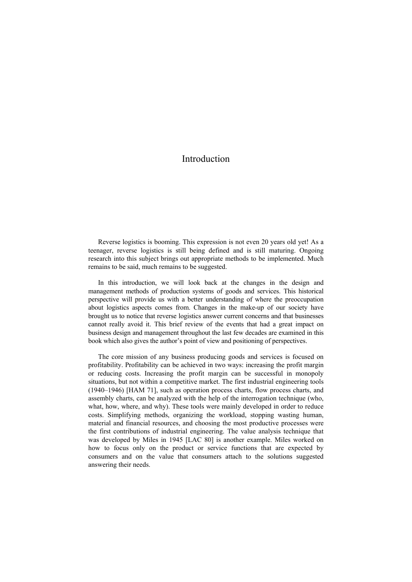# Introduction

Reverse logistics is booming. This expression is not even 20 years old yet! As a teenager, reverse logistics is still being defined and is still maturing. Ongoing research into this subject brings out appropriate methods to be implemented. Much remains to be said, much remains to be suggested.

In this introduction, we will look back at the changes in the design and management methods of production systems of goods and services. This historical perspective will provide us with a better understanding of where the preoccupation about logistics aspects comes from. Changes in the make-up of our society have brought us to notice that reverse logistics answer current concerns and that businesses cannot really avoid it. This brief review of the events that had a great impact on business design and management throughout the last few decades are examined in this book which also gives the author's point of view and positioning of perspectives.

The core mission of any business producing goods and services is focused on profitability. Profitability can be achieved in two ways: increasing the profit margin or reducing costs. Increasing the profit margin can be successful in monopoly situations, but not within a competitive market. The first industrial engineering tools (1940–1946) [HAM 71], such as operation process charts, flow process charts, and assembly charts, can be analyzed with the help of the interrogation technique (who, what, how, where, and why). These tools were mainly developed in order to reduce costs. Simplifying methods, organizing the workload, stopping wasting human, material and financial resources, and choosing the most productive processes were the first contributions of industrial engineering. The value analysis technique that was developed by Miles in 1945 [LAC 80] is another example. Miles worked on how to focus only on the product or service functions that are expected by consumers and on the value that consumers attach to the solutions suggested answering their needs.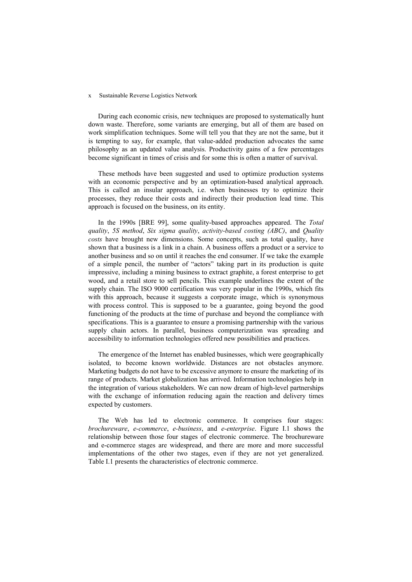### x Sustainable Reverse Logistics Network

During each economic crisis, new techniques are proposed to systematically hunt down waste. Therefore, some variants are emerging, but all of them are based on work simplification techniques. Some will tell you that they are not the same, but it is tempting to say, for example, that value-added production advocates the same philosophy as an updated value analysis. Productivity gains of a few percentages become significant in times of crisis and for some this is often a matter of survival.

These methods have been suggested and used to optimize production systems with an economic perspective and by an optimization-based analytical approach. This is called an insular approach, i.e. when businesses try to optimize their processes, they reduce their costs and indirectly their production lead time. This approach is focused on the business, on its entity.

In the 1990s [BRE 99], some quality-based approaches appeared. The *Total quality*, *5S method*, *Six sigma quality*, *activity-based costing (ABC)*, and *Quality costs* have brought new dimensions. Some concepts, such as total quality, have shown that a business is a link in a chain. A business offers a product or a service to another business and so on until it reaches the end consumer. If we take the example of a simple pencil, the number of "actors" taking part in its production is quite impressive, including a mining business to extract graphite, a forest enterprise to get wood, and a retail store to sell pencils. This example underlines the extent of the supply chain. The ISO 9000 certification was very popular in the 1990s, which fits with this approach, because it suggests a corporate image, which is synonymous with process control. This is supposed to be a guarantee, going beyond the good functioning of the products at the time of purchase and beyond the compliance with specifications. This is a guarantee to ensure a promising partnership with the various supply chain actors. In parallel, business computerization was spreading and accessibility to information technologies offered new possibilities and practices.

The emergence of the Internet has enabled businesses, which were geographically isolated, to become known worldwide. Distances are not obstacles anymore. Marketing budgets do not have to be excessive anymore to ensure the marketing of its range of products. Market globalization has arrived. Information technologies help in the integration of various stakeholders. We can now dream of high-level partnerships with the exchange of information reducing again the reaction and delivery times expected by customers.

The Web has led to electronic commerce. It comprises four stages: *brochureware*, *e-commerce*, *e-business*, and *e-enterprise*. Figure I.1 shows the relationship between those four stages of electronic commerce. The brochureware and e-commerce stages are widespread, and there are more and more successful implementations of the other two stages, even if they are not yet generalized. Table I.1 presents the characteristics of electronic commerce.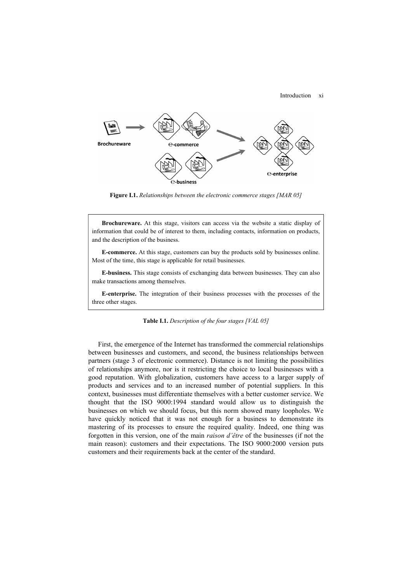

**Figure I.1.** *Relationships between the electronic commerce stages [MAR 05]*

**Brochureware.** At this stage, visitors can access via the website a static display of information that could be of interest to them, including contacts, information on products, and the description of the business.

**E-commerce.** At this stage, customers can buy the products sold by businesses online. Most of the time, this stage is applicable for retail businesses.

**E-business.** This stage consists of exchanging data between businesses. They can also make transactions among themselves.

**E-enterprise.** The integration of their business processes with the processes of the three other stages.

**Table I.1.** *Description of the four stages [VAL 05]*

First, the emergence of the Internet has transformed the commercial relationships between businesses and customers, and second, the business relationships between partners (stage 3 of electronic commerce). Distance is not limiting the possibilities of relationships anymore, nor is it restricting the choice to local businesses with a good reputation. With globalization, customers have access to a larger supply of products and services and to an increased number of potential suppliers. In this context, businesses must differentiate themselves with a better customer service. We thought that the ISO 9000:1994 standard would allow us to distinguish the businesses on which we should focus, but this norm showed many loopholes. We have quickly noticed that it was not enough for a business to demonstrate its mastering of its processes to ensure the required quality. Indeed, one thing was forgotten in this version, one of the main *raison d'être* of the businesses (if not the main reason): customers and their expectations. The ISO 9000:2000 version puts customers and their requirements back at the center of the standard.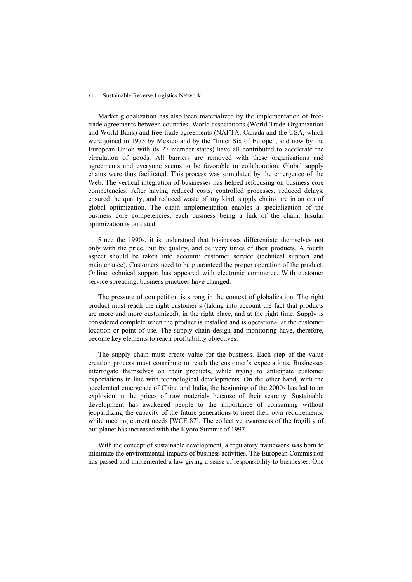## xii Sustainable Reverse Logistics Network

Market globalization has also been materialized by the implementation of freetrade agreements between countries. World associations (World Trade Organization and World Bank) and free-trade agreements (NAFTA: Canada and the USA, which were joined in 1973 by Mexico and by the "Inner Six of Europe", and now by the European Union with its 27 member states) have all contributed to accelerate the circulation of goods. All barriers are removed with these organizations and agreements and everyone seems to be favorable to collaboration. Global supply chains were thus facilitated. This process was stimulated by the emergence of the Web. The vertical integration of businesses has helped refocusing on business core competencies. After having reduced costs, controlled processes, reduced delays, ensured the quality, and reduced waste of any kind, supply chains are in an era of global optimization. The chain implementation enables a specialization of the business core competencies; each business being a link of the chain. Insular optimization is outdated.

Since the 1990s, it is understood that businesses differentiate themselves not only with the price, but by quality, and delivery times of their products. A fourth aspect should be taken into account: customer service (technical support and maintenance). Customers need to be guaranteed the proper operation of the product. Online technical support has appeared with electronic commerce. With customer service spreading, business practices have changed.

The pressure of competition is strong in the context of globalization. The right product must reach the right customer's (taking into account the fact that products are more and more customized), in the right place, and at the right time. Supply is considered complete when the product is installed and is operational at the customer location or point of use. The supply chain design and monitoring have, therefore, become key elements to reach profitability objectives.

The supply chain must create value for the business. Each step of the value creation process must contribute to reach the customer's expectations. Businesses interrogate themselves on their products, while trying to anticipate customer expectations in line with technological developments. On the other hand, with the accelerated emergence of China and India, the beginning of the 2000s has led to an explosion in the prices of raw materials because of their scarcity. Sustainable development has awakened people to the importance of consuming without jeopardizing the capacity of the future generations to meet their own requirements, while meeting current needs [WCE 87]. The collective awareness of the fragility of our planet has increased with the Kyoto Summit of 1997.

With the concept of sustainable development, a regulatory framework was born to minimize the environmental impacts of business activities. The European Commission has passed and implemented a law giving a sense of responsibility to businesses. One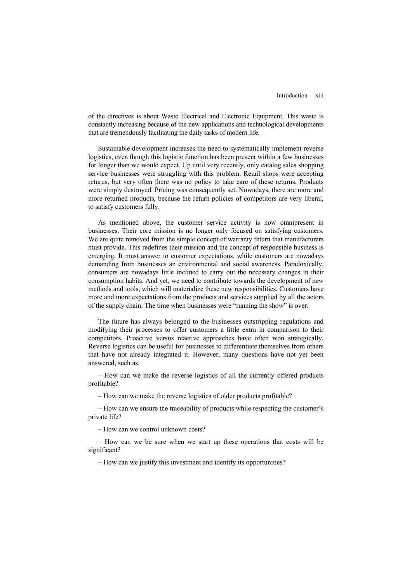of the directives is about Waste Electrical and Electronic Equipment. This waste is constantly increasing because of the new applications and technological developments that are tremendously facilitating the daily tasks of modern life.

Sustainable development increases the need to systematically implement reverse logistics, even though this logistic function has been present within a few businesses for longer than we would expect. Up until very recently, only catalog sales shopping service businesses were struggling with this problem. Retail shops were accepting returns, but very often there was no policy to take care of these returns. Products were simply destroyed. Pricing was consequently set. Nowadays, there are more and more returned products, because the return policies of competitors are very liberal, to satisfy customers fully.

As mentioned above, the customer service activity is now omnipresent in businesses. Their core mission is no longer only focused on satisfying customers. We are quite removed from the simple concept of warranty return that manufacturers must provide. This redefines their mission and the concept of responsible business is emerging. It must answer to customer expectations, while customers are nowadays demanding from businesses an environmental and social awareness. Paradoxically, consumers are nowadays little inclined to carry out the necessary changes in their consumption habits. And yet, we need to contribute towards the development of new methods and tools, which will materialize these new responsibilities. Customers have more and more expectations from the products and services supplied by all the actors of the supply chain. The time when businesses were "running the show" is over.

The future has always belonged to the businesses outstripping regulations and modifying their processes to offer customers a little extra in comparison to their competitors. Proactive versus reactive approaches have often won strategically. Reverse logistics can be useful for businesses to differentiate themselves from others that have not already integrated it. However, many questions have not yet been answered, such as:

– How can we make the reverse logistics of all the currently offered products profitable?

– How can we make the reverse logistics of older products profitable?

– How can we ensure the traceability of products while respecting the customer's private life?

– How can we control unknown costs?

– How can we be sure when we start up these operations that costs will be significant?

– How can we justify this investment and identify its opportunities?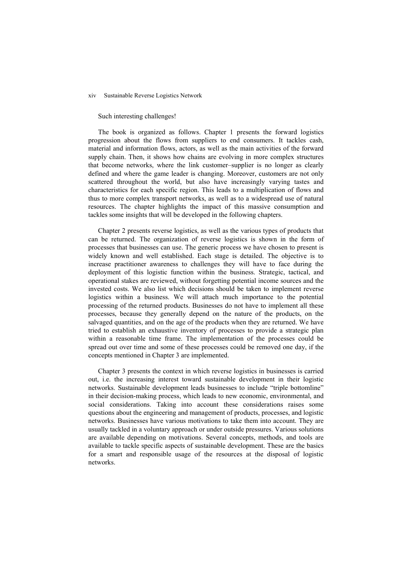#### xiv Sustainable Reverse Logistics Network

Such interesting challenges!

The book is organized as follows. Chapter 1 presents the forward logistics progression about the flows from suppliers to end consumers. It tackles cash, material and information flows, actors, as well as the main activities of the forward supply chain. Then, it shows how chains are evolving in more complex structures that become networks, where the link customer–supplier is no longer as clearly defined and where the game leader is changing. Moreover, customers are not only scattered throughout the world, but also have increasingly varying tastes and characteristics for each specific region. This leads to a multiplication of flows and thus to more complex transport networks, as well as to a widespread use of natural resources. The chapter highlights the impact of this massive consumption and tackles some insights that will be developed in the following chapters.

Chapter 2 presents reverse logistics, as well as the various types of products that can be returned. The organization of reverse logistics is shown in the form of processes that businesses can use. The generic process we have chosen to present is widely known and well established. Each stage is detailed. The objective is to increase practitioner awareness to challenges they will have to face during the deployment of this logistic function within the business. Strategic, tactical, and operational stakes are reviewed, without forgetting potential income sources and the invested costs. We also list which decisions should be taken to implement reverse logistics within a business. We will attach much importance to the potential processing of the returned products. Businesses do not have to implement all these processes, because they generally depend on the nature of the products, on the salvaged quantities, and on the age of the products when they are returned. We have tried to establish an exhaustive inventory of processes to provide a strategic plan within a reasonable time frame. The implementation of the processes could be spread out over time and some of these processes could be removed one day, if the concepts mentioned in Chapter 3 are implemented.

Chapter 3 presents the context in which reverse logistics in businesses is carried out, i.e. the increasing interest toward sustainable development in their logistic networks. Sustainable development leads businesses to include "triple bottomline" in their decision-making process, which leads to new economic, environmental, and social considerations. Taking into account these considerations raises some questions about the engineering and management of products, processes, and logistic networks. Businesses have various motivations to take them into account. They are usually tackled in a voluntary approach or under outside pressures. Various solutions are available depending on motivations. Several concepts, methods, and tools are available to tackle specific aspects of sustainable development. These are the basics for a smart and responsible usage of the resources at the disposal of logistic networks.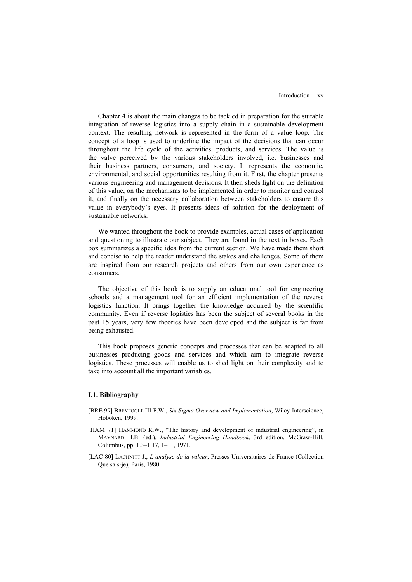Chapter 4 is about the main changes to be tackled in preparation for the suitable integration of reverse logistics into a supply chain in a sustainable development context. The resulting network is represented in the form of a value loop. The concept of a loop is used to underline the impact of the decisions that can occur throughout the life cycle of the activities, products, and services. The value is the valve perceived by the various stakeholders involved, i.e. businesses and their business partners, consumers, and society. It represents the economic, environmental, and social opportunities resulting from it. First, the chapter presents various engineering and management decisions. It then sheds light on the definition of this value, on the mechanisms to be implemented in order to monitor and control it, and finally on the necessary collaboration between stakeholders to ensure this value in everybody's eyes. It presents ideas of solution for the deployment of sustainable networks.

We wanted throughout the book to provide examples, actual cases of application and questioning to illustrate our subject. They are found in the text in boxes. Each box summarizes a specific idea from the current section. We have made them short and concise to help the reader understand the stakes and challenges. Some of them are inspired from our research projects and others from our own experience as consumers.

The objective of this book is to supply an educational tool for engineering schools and a management tool for an efficient implementation of the reverse logistics function. It brings together the knowledge acquired by the scientific community. Even if reverse logistics has been the subject of several books in the past 15 years, very few theories have been developed and the subject is far from being exhausted.

This book proposes generic concepts and processes that can be adapted to all businesses producing goods and services and which aim to integrate reverse logistics. These processes will enable us to shed light on their complexity and to take into account all the important variables.

## **I.1. Bibliography**

- [BRE 99] BREYFOGLE III F.W., *Six Sigma Overview and Implementation*, Wiley-Interscience, Hoboken, 1999.
- [HAM 71] HAMMOND R.W., "The history and development of industrial engineering", in MAYNARD H.B. (ed.), *Industrial Engineering Handbook*, 3rd edition, McGraw-Hill, Columbus, pp. 1.3–1.17, 1–11, 1971.
- [LAC 80] LACHNITT J., *L'analyse de la valeur*, Presses Universitaires de France (Collection Que sais-je), Paris, 1980.